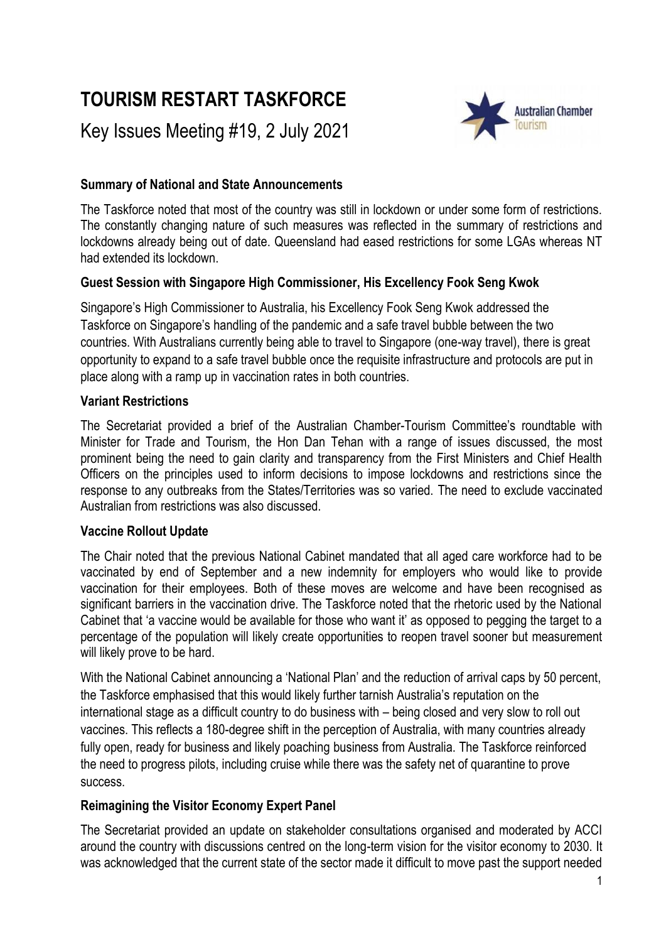# **TOURISM RESTART TASKFORCE**

Key Issues Meeting #19, 2 July 2021



## **Summary of National and State Announcements**

The Taskforce noted that most of the country was still in lockdown or under some form of restrictions. The constantly changing nature of such measures was reflected in the summary of restrictions and lockdowns already being out of date. Queensland had eased restrictions for some LGAs whereas NT had extended its lockdown.

# **Guest Session with Singapore High Commissioner, His Excellency Fook Seng Kwok**

Singapore's High Commissioner to Australia, his Excellency Fook Seng Kwok addressed the Taskforce on Singapore's handling of the pandemic and a safe travel bubble between the two countries. With Australians currently being able to travel to Singapore (one-way travel), there is great opportunity to expand to a safe travel bubble once the requisite infrastructure and protocols are put in place along with a ramp up in vaccination rates in both countries.

## **Variant Restrictions**

The Secretariat provided a brief of the Australian Chamber-Tourism Committee's roundtable with Minister for Trade and Tourism, the Hon Dan Tehan with a range of issues discussed, the most prominent being the need to gain clarity and transparency from the First Ministers and Chief Health Officers on the principles used to inform decisions to impose lockdowns and restrictions since the response to any outbreaks from the States/Territories was so varied. The need to exclude vaccinated Australian from restrictions was also discussed.

## **Vaccine Rollout Update**

The Chair noted that the previous National Cabinet mandated that all aged care workforce had to be vaccinated by end of September and a new indemnity for employers who would like to provide vaccination for their employees. Both of these moves are welcome and have been recognised as significant barriers in the vaccination drive. The Taskforce noted that the rhetoric used by the National Cabinet that 'a vaccine would be available for those who want it' as opposed to pegging the target to a percentage of the population will likely create opportunities to reopen travel sooner but measurement will likely prove to be hard.

With the National Cabinet announcing a 'National Plan' and the reduction of arrival caps by 50 percent, the Taskforce emphasised that this would likely further tarnish Australia's reputation on the international stage as a difficult country to do business with – being closed and very slow to roll out vaccines. This reflects a 180-degree shift in the perception of Australia, with many countries already fully open, ready for business and likely poaching business from Australia. The Taskforce reinforced the need to progress pilots, including cruise while there was the safety net of quarantine to prove success.

## **Reimagining the Visitor Economy Expert Panel**

The Secretariat provided an update on stakeholder consultations organised and moderated by ACCI around the country with discussions centred on the long-term vision for the visitor economy to 2030. It was acknowledged that the current state of the sector made it difficult to move past the support needed